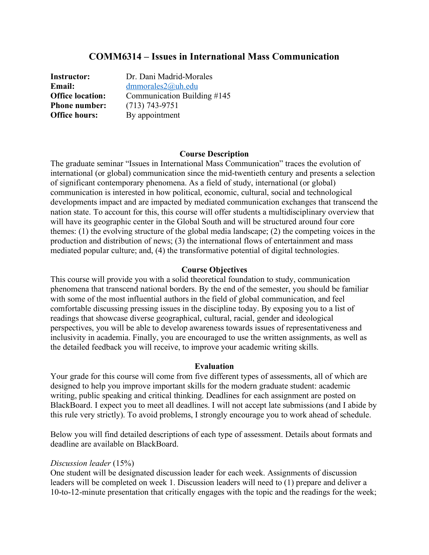### **COMM6314 – Issues in International Mass Communication**

**Instructor:** Dr. Dani Madrid-Morales **Email:** dmmorales2@uh.edu **Office location:** Communication Building #145 **Phone number:** (713) 743-9751 **Office hours:** By appointment

#### **Course Description**

The graduate seminar "Issues in International Mass Communication" traces the evolution of international (or global) communication since the mid-twentieth century and presents a selection of significant contemporary phenomena. As a field of study, international (or global) communication is interested in how political, economic, cultural, social and technological developments impact and are impacted by mediated communication exchanges that transcend the nation state. To account for this, this course will offer students a multidisciplinary overview that will have its geographic center in the Global South and will be structured around four core themes: (1) the evolving structure of the global media landscape; (2) the competing voices in the production and distribution of news; (3) the international flows of entertainment and mass mediated popular culture; and, (4) the transformative potential of digital technologies.

#### **Course Objectives**

This course will provide you with a solid theoretical foundation to study, communication phenomena that transcend national borders. By the end of the semester, you should be familiar with some of the most influential authors in the field of global communication, and feel comfortable discussing pressing issues in the discipline today. By exposing you to a list of readings that showcase diverse geographical, cultural, racial, gender and ideological perspectives, you will be able to develop awareness towards issues of representativeness and inclusivity in academia. Finally, you are encouraged to use the written assignments, as well as the detailed feedback you will receive, to improve your academic writing skills.

#### **Evaluation**

Your grade for this course will come from five different types of assessments, all of which are designed to help you improve important skills for the modern graduate student: academic writing, public speaking and critical thinking. Deadlines for each assignment are posted on BlackBoard. I expect you to meet all deadlines. I will not accept late submissions (and I abide by this rule very strictly). To avoid problems, I strongly encourage you to work ahead of schedule.

Below you will find detailed descriptions of each type of assessment. Details about formats and deadline are available on BlackBoard.

#### *Discussion leader* (15%)

One student will be designated discussion leader for each week. Assignments of discussion leaders will be completed on week 1. Discussion leaders will need to (1) prepare and deliver a 10-to-12-minute presentation that critically engages with the topic and the readings for the week;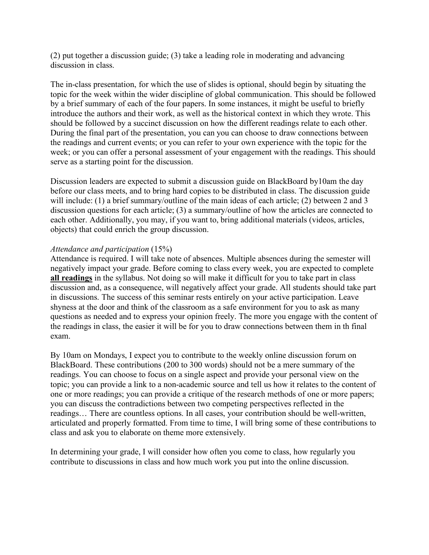(2) put together a discussion guide; (3) take a leading role in moderating and advancing discussion in class.

The in-class presentation, for which the use of slides is optional, should begin by situating the topic for the week within the wider discipline of global communication. This should be followed by a brief summary of each of the four papers. In some instances, it might be useful to briefly introduce the authors and their work, as well as the historical context in which they wrote. This should be followed by a succinct discussion on how the different readings relate to each other. During the final part of the presentation, you can you can choose to draw connections between the readings and current events; or you can refer to your own experience with the topic for the week; or you can offer a personal assessment of your engagement with the readings. This should serve as a starting point for the discussion.

Discussion leaders are expected to submit a discussion guide on BlackBoard by10am the day before our class meets, and to bring hard copies to be distributed in class. The discussion guide will include: (1) a brief summary/outline of the main ideas of each article; (2) between 2 and 3 discussion questions for each article; (3) a summary/outline of how the articles are connected to each other. Additionally, you may, if you want to, bring additional materials (videos, articles, objects) that could enrich the group discussion.

### *Attendance and participation* (15%)

Attendance is required. I will take note of absences. Multiple absences during the semester will negatively impact your grade. Before coming to class every week, you are expected to complete **all readings** in the syllabus. Not doing so will make it difficult for you to take part in class discussion and, as a consequence, will negatively affect your grade. All students should take part in discussions. The success of this seminar rests entirely on your active participation. Leave shyness at the door and think of the classroom as a safe environment for you to ask as many questions as needed and to express your opinion freely. The more you engage with the content of the readings in class, the easier it will be for you to draw connections between them in th final exam.

By 10am on Mondays, I expect you to contribute to the weekly online discussion forum on BlackBoard. These contributions (200 to 300 words) should not be a mere summary of the readings. You can choose to focus on a single aspect and provide your personal view on the topic; you can provide a link to a non-academic source and tell us how it relates to the content of one or more readings; you can provide a critique of the research methods of one or more papers; you can discuss the contradictions between two competing perspectives reflected in the readings… There are countless options. In all cases, your contribution should be well-written, articulated and properly formatted. From time to time, I will bring some of these contributions to class and ask you to elaborate on theme more extensively.

In determining your grade, I will consider how often you come to class, how regularly you contribute to discussions in class and how much work you put into the online discussion.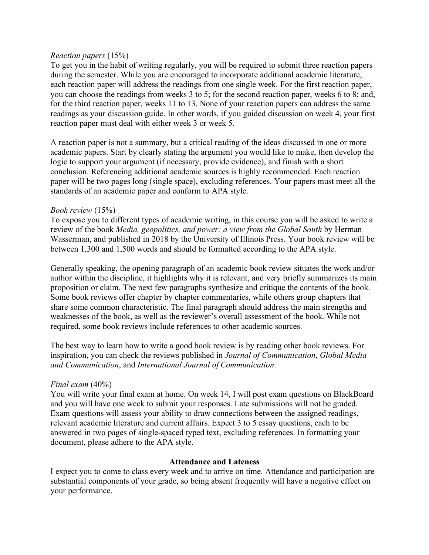#### *Reaction papers* (15%)

To get you in the habit of writing regularly, you will be required to submit three reaction papers during the semester. While you are encouraged to incorporate additional academic literature, each reaction paper will address the readings from one single week. For the first reaction paper, you can choose the readings from weeks 3 to 5; for the second reaction paper, weeks 6 to 8; and, for the third reaction paper, weeks 11 to 13. None of your reaction papers can address the same readings as your discussion guide. In other words, if you guided discussion on week 4, your first reaction paper must deal with either week 3 or week 5.

A reaction paper is not a summary, but a critical reading of the ideas discussed in one or more academic papers. Start by clearly stating the argument you would like to make, then develop the logic to support your argument (if necessary, provide evidence), and finish with a short conclusion. Referencing additional academic sources is highly recommended. Each reaction paper will be two pages long (single space), excluding references. Your papers must meet all the standards of an academic paper and conform to APA style.

### *Book review* (15%)

To expose you to different types of academic writing, in this course you will be asked to write a review of the book *Media, geopolitics, and power: a view from the Global South* by Herman Wasserman, and published in 2018 by the University of Illinois Press. Your book review will be between 1,300 and 1,500 words and should be formatted according to the APA style.

Generally speaking, the opening paragraph of an academic book review situates the work and/or author within the discipline, it highlights why it is relevant, and very briefly summarizes its main proposition or claim. The next few paragraphs synthesize and critique the contents of the book. Some book reviews offer chapter by chapter commentaries, while others group chapters that share some common characteristic. The final paragraph should address the main strengths and weaknesses of the book, as well as the reviewer's overall assessment of the book. While not required, some book reviews include references to other academic sources.

The best way to learn how to write a good book review is by reading other book reviews. For inspiration, you can check the reviews published in *Journal of Communication*, *Global Media and Communication*, and *International Journal of Communication*.

### *Final exam* (40%)

You will write your final exam at home. On week 14, I will post exam questions on BlackBoard and you will have one week to submit your responses. Late submissions will not be graded. Exam questions will assess your ability to draw connections between the assigned readings, relevant academic literature and current affairs. Expect 3 to 5 essay questions, each to be answered in two pages of single-spaced typed text, excluding references. In formatting your document, please adhere to the APA style.

#### **Attendance and Lateness**

I expect you to come to class every week and to arrive on time. Attendance and participation are substantial components of your grade, so being absent frequently will have a negative effect on your performance.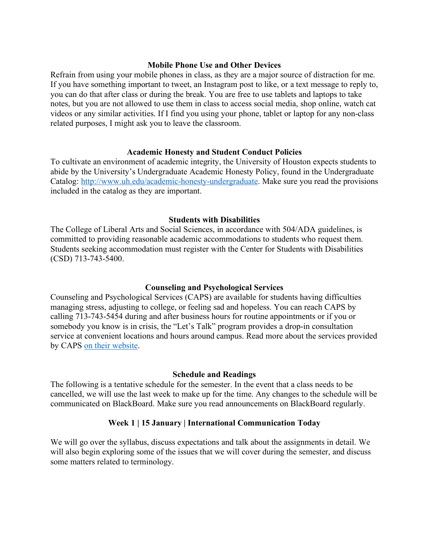#### **Mobile Phone Use and Other Devices**

Refrain from using your mobile phones in class, as they are a major source of distraction for me. If you have something important to tweet, an Instagram post to like, or a text message to reply to, you can do that after class or during the break. You are free to use tablets and laptops to take notes, but you are not allowed to use them in class to access social media, shop online, watch cat videos or any similar activities. If I find you using your phone, tablet or laptop for any non-class related purposes, I might ask you to leave the classroom.

### **Academic Honesty and Student Conduct Policies**

To cultivate an environment of academic integrity, the University of Houston expects students to abide by the University's Undergraduate Academic Honesty Policy, found in the Undergraduate Catalog: http://www.uh.edu/academic-honesty-undergraduate. Make sure you read the provisions included in the catalog as they are important.

### **Students with Disabilities**

The College of Liberal Arts and Social Sciences, in accordance with 504/ADA guidelines, is committed to providing reasonable academic accommodations to students who request them. Students seeking accommodation must register with the Center for Students with Disabilities (CSD) 713-743-5400.

### **Counseling and Psychological Services**

Counseling and Psychological Services (CAPS) are available for students having difficulties managing stress, adjusting to college, or feeling sad and hopeless. You can reach CAPS by calling 713-743-5454 during and after business hours for routine appointments or if you or somebody you know is in crisis, the "Let's Talk" program provides a drop-in consultation service at convenient locations and hours around campus. Read more about the services provided by CAPS on their website.

#### **Schedule and Readings**

The following is a tentative schedule for the semester. In the event that a class needs to be cancelled, we will use the last week to make up for the time. Any changes to the schedule will be communicated on BlackBoard. Make sure you read announcements on BlackBoard regularly.

### **Week 1** *|* **15 January** *|* **International Communication Today**

We will go over the syllabus, discuss expectations and talk about the assignments in detail. We will also begin exploring some of the issues that we will cover during the semester, and discuss some matters related to terminology.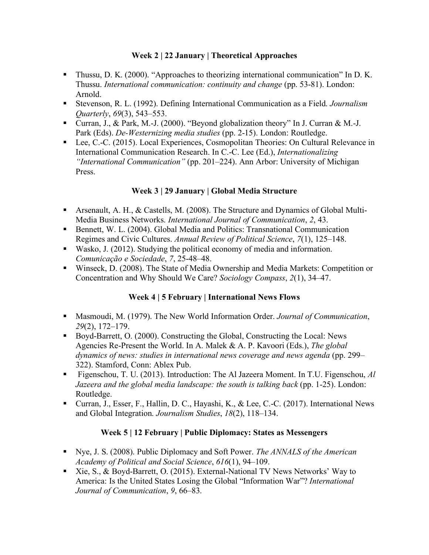### **Week 2 | 22 January | Theoretical Approaches**

- Thussu, D. K. (2000). "Approaches to theorizing international communication" In D. K. Thussu. *International communication: continuity and change* (pp. 53-81). London: Arnold.
- Stevenson, R. L. (1992). Defining International Communication as a Field. *Journalism Quarterly*, *69*(3), 543–553.
- Curran, J., & Park, M.-J. (2000). "Beyond globalization theory" In J. Curran & M.-J. Park (Eds). *De-Westernizing media studies* (pp. 2-15). London: Routledge.
- Lee, C.-C. (2015). Local Experiences, Cosmopolitan Theories: On Cultural Relevance in International Communication Research. In C.-C. Lee (Ed.), *Internationalizing "International Communication"* (pp. 201–224). Ann Arbor: University of Michigan Press.

## **Week 3 | 29 January | Global Media Structure**

- Arsenault, A. H., & Castells, M. (2008). The Structure and Dynamics of Global Multi-Media Business Networks. *International Journal of Communication*, *2*, 43.
- Bennett, W. L. (2004). Global Media and Politics: Transnational Communication Regimes and Civic Cultures. *Annual Review of Political Science*, *7*(1), 125–148.
- Wasko, J. (2012). Studying the political economy of media and information. *Comunicação e Sociedade*, *7*, 25-48–48.
- Winseck, D. (2008). The State of Media Ownership and Media Markets: Competition or Concentration and Why Should We Care? *Sociology Compass*, *2*(1), 34–47.

# **Week 4 | 5 February | International News Flows**

- Masmoudi, M. (1979). The New World Information Order. *Journal of Communication*, *29*(2), 172–179.
- Boyd-Barrett, O. (2000). Constructing the Global, Constructing the Local: News Agencies Re-Present the World. In A. Malek & A. P. Kavoori (Eds.), *The global dynamics of news: studies in international news coverage and news agenda* (pp. 299– 322). Stamford, Conn: Ablex Pub.
- § Figenschou, T. U. (2013). Introduction: The Al Jazeera Moment. In T.U. Figenschou, *Al Jazeera and the global media landscape: the south is talking back* (pp. 1-25). London: Routledge.
- Curran, J., Esser, F., Hallin, D. C., Hayashi, K., & Lee, C.-C. (2017). International News and Global Integration. *Journalism Studies*, *18*(2), 118–134.

## **Week 5 | 12 February | Public Diplomacy: States as Messengers**

- § Nye, J. S. (2008). Public Diplomacy and Soft Power. *The ANNALS of the American Academy of Political and Social Science*, *616*(1), 94–109.
- Xie, S., & Boyd-Barrett, O. (2015). External-National TV News Networks' Way to America: Is the United States Losing the Global "Information War"? *International Journal of Communication*, *9*, 66–83.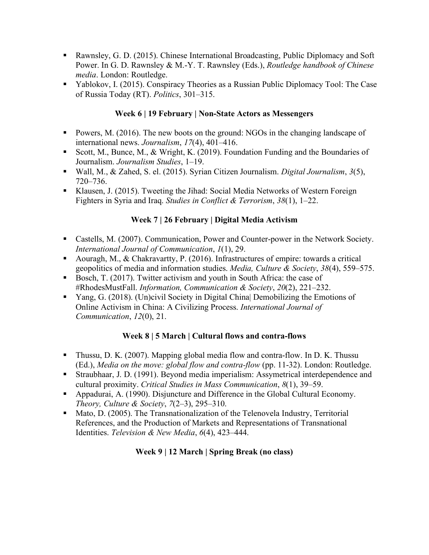- Rawnsley, G. D. (2015). Chinese International Broadcasting, Public Diplomacy and Soft Power. In G. D. Rawnsley & M.-Y. T. Rawnsley (Eds.), *Routledge handbook of Chinese media*. London: Routledge.
- § Yablokov, I. (2015). Conspiracy Theories as a Russian Public Diplomacy Tool: The Case of Russia Today (RT). *Politics*, 301–315.

## **Week 6 | 19 February | Non-State Actors as Messengers**

- Powers, M. (2016). The new boots on the ground: NGOs in the changing landscape of international news. *Journalism*, *17*(4), 401–416.
- Scott, M., Bunce, M., & Wright, K. (2019). Foundation Funding and the Boundaries of Journalism. *Journalism Studies*, 1–19.
- § Wall, M., & Zahed, S. el. (2015). Syrian Citizen Journalism. *Digital Journalism*, *3*(5), 720–736.
- Klausen, J. (2015). Tweeting the Jihad: Social Media Networks of Western Foreign Fighters in Syria and Iraq. *Studies in Conflict & Terrorism*, *38*(1), 1–22.

## **Week 7 | 26 February | Digital Media Activism**

- Castells, M. (2007). Communication, Power and Counter-power in the Network Society. *International Journal of Communication*, *1*(1), 29.
- Aouragh, M., & Chakravartty, P. (2016). Infrastructures of empire: towards a critical geopolitics of media and information studies. *Media, Culture & Society*, *38*(4), 559–575.
- Bosch, T. (2017). Twitter activism and youth in South Africa: the case of #RhodesMustFall. *Information, Communication & Society*, *20*(2), 221–232.
- § Yang, G. (2018). (Un)civil Society in Digital China| Demobilizing the Emotions of Online Activism in China: A Civilizing Process. *International Journal of Communication*, *12*(0), 21.

## **Week 8 | 5 March | Cultural flows and contra-flows**

- Thussu, D. K. (2007). Mapping global media flow and contra-flow. In D. K. Thussu (Ed.), *Media on the move: global flow and contra-flow* (pp. 11-32). London: Routledge.
- Straubhaar, J. D. (1991). Beyond media imperialism: Assymetrical interdependence and cultural proximity. *Critical Studies in Mass Communication*, *8*(1), 39–59.
- § Appadurai, A. (1990). Disjuncture and Difference in the Global Cultural Economy. *Theory, Culture & Society*, *7*(2–3), 295–310.
- Mato, D. (2005). The Transnationalization of the Telenovela Industry, Territorial References, and the Production of Markets and Representations of Transnational Identities. *Television & New Media*, *6*(4), 423–444.

### **Week 9 | 12 March | Spring Break (no class)**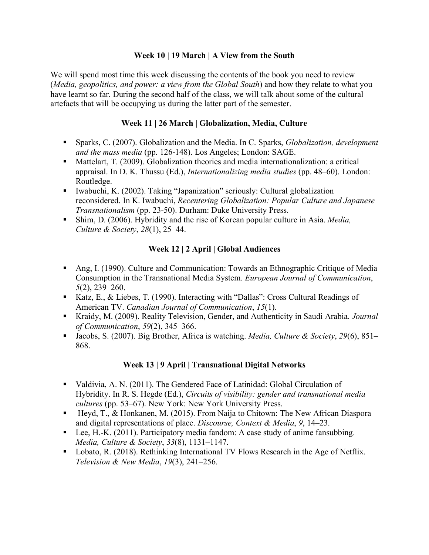### **Week 10 | 19 March | A View from the South**

We will spend most time this week discussing the contents of the book you need to review (*Media, geopolitics, and power: a view from the Global South*) and how they relate to what you have learnt so far. During the second half of the class, we will talk about some of the cultural artefacts that will be occupying us during the latter part of the semester.

### **Week 11 | 26 March | Globalization, Media, Culture**

- Sparks, C. (2007). Globalization and the Media. In C. Sparks, *Globalization, development and the mass media* (pp. 126-148). Los Angeles; London: SAGE.
- Mattelart, T. (2009). Globalization theories and media internationalization: a critical appraisal. In D. K. Thussu (Ed.), *Internationalizing media studies* (pp. 48–60). London: Routledge.
- Iwabuchi, K. (2002). Taking "Japanization" seriously: Cultural globalization reconsidered. In K. Iwabuchi, *Recentering Globalization: Popular Culture and Japanese Transnationalism* (pp. 23-50). Durham: Duke University Press.
- Shim, D. (2006). Hybridity and the rise of Korean popular culture in Asia. *Media*, *Culture & Society*, *28*(1), 25–44.

## **Week 12 | 2 April | Global Audiences**

- § Ang, I. (1990). Culture and Communication: Towards an Ethnographic Critique of Media Consumption in the Transnational Media System. *European Journal of Communication*, *5*(2), 239–260.
- Katz, E., & Liebes, T. (1990). Interacting with "Dallas": Cross Cultural Readings of American TV. *Canadian Journal of Communication*, *15*(1).
- Kraidy, M. (2009). Reality Television, Gender, and Authenticity in Saudi Arabia. *Journal of Communication*, *59*(2), 345–366.
- § Jacobs, S. (2007). Big Brother, Africa is watching. *Media, Culture & Society*, *29*(6), 851– 868.

## **Week 13 | 9 April | Transnational Digital Networks**

- Valdivia, A. N. (2011). The Gendered Face of Latinidad: Global Circulation of Hybridity. In R. S. Hegde (Ed.), *Circuits of visibility: gender and transnational media cultures* (pp. 53–67). New York: New York University Press.
- Heyd, T., & Honkanen, M. (2015). From Naija to Chitown: The New African Diaspora and digital representations of place. *Discourse, Context & Media*, *9*, 14–23.
- Lee, H.-K. (2011). Participatory media fandom: A case study of anime fansubbing. *Media, Culture & Society*, *33*(8), 1131–1147.
- Lobato, R. (2018). Rethinking International TV Flows Research in the Age of Netflix. *Television & New Media*, *19*(3), 241–256.